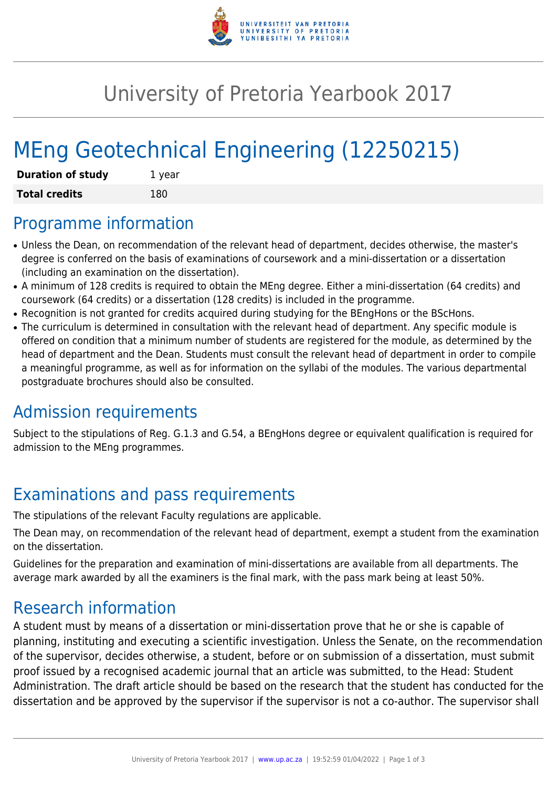

## University of Pretoria Yearbook 2017

# MEng Geotechnical Engineering (12250215)

| <b>Duration of study</b> | 1 year |
|--------------------------|--------|
| <b>Total credits</b>     | 180    |

#### Programme information

- Unless the Dean, on recommendation of the relevant head of department, decides otherwise, the master's degree is conferred on the basis of examinations of coursework and a mini-dissertation or a dissertation (including an examination on the dissertation).
- A minimum of 128 credits is required to obtain the MEng degree. Either a mini-dissertation (64 credits) and coursework (64 credits) or a dissertation (128 credits) is included in the programme.
- Recognition is not granted for credits acquired during studying for the BEngHons or the BScHons.
- The curriculum is determined in consultation with the relevant head of department. Any specific module is offered on condition that a minimum number of students are registered for the module, as determined by the head of department and the Dean. Students must consult the relevant head of department in order to compile a meaningful programme, as well as for information on the syllabi of the modules. The various departmental postgraduate brochures should also be consulted.

### Admission requirements

Subject to the stipulations of Reg. G.1.3 and G.54, a BEngHons degree or equivalent qualification is required for admission to the MEng programmes.

### Examinations and pass requirements

The stipulations of the relevant Faculty regulations are applicable.

The Dean may, on recommendation of the relevant head of department, exempt a student from the examination on the dissertation.

Guidelines for the preparation and examination of mini-dissertations are available from all departments. The average mark awarded by all the examiners is the final mark, with the pass mark being at least 50%.

#### Research information

A student must by means of a dissertation or mini-dissertation prove that he or she is capable of planning, instituting and executing a scientific investigation. Unless the Senate, on the recommendation of the supervisor, decides otherwise, a student, before or on submission of a dissertation, must submit proof issued by a recognised academic journal that an article was submitted, to the Head: Student Administration. The draft article should be based on the research that the student has conducted for the dissertation and be approved by the supervisor if the supervisor is not a co-author. The supervisor shall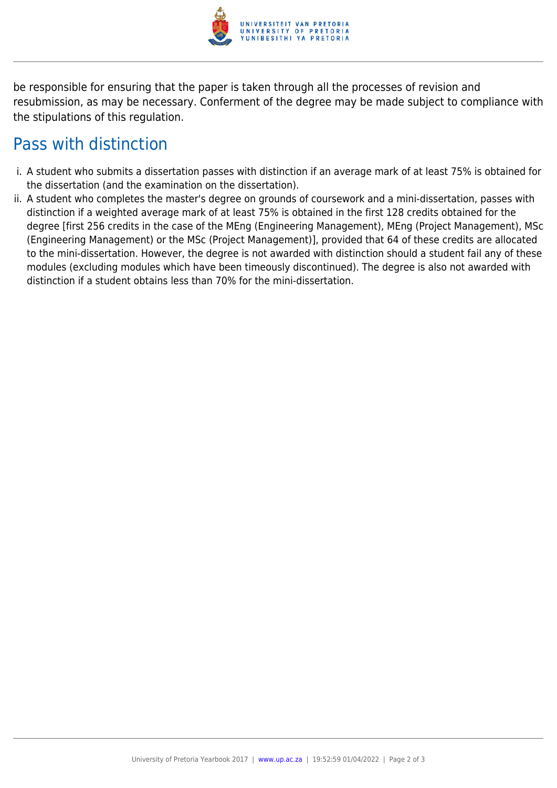

be responsible for ensuring that the paper is taken through all the processes of revision and resubmission, as may be necessary. Conferment of the degree may be made subject to compliance with the stipulations of this regulation.

#### Pass with distinction

- i. A student who submits a dissertation passes with distinction if an average mark of at least 75% is obtained for the dissertation (and the examination on the dissertation).
- ii. A student who completes the master's degree on grounds of coursework and a mini-dissertation, passes with distinction if a weighted average mark of at least 75% is obtained in the first 128 credits obtained for the degree [first 256 credits in the case of the MEng (Engineering Management), MEng (Project Management), MSc (Engineering Management) or the MSc (Project Management)], provided that 64 of these credits are allocated to the mini-dissertation. However, the degree is not awarded with distinction should a student fail any of these modules (excluding modules which have been timeously discontinued). The degree is also not awarded with distinction if a student obtains less than 70% for the mini-dissertation.